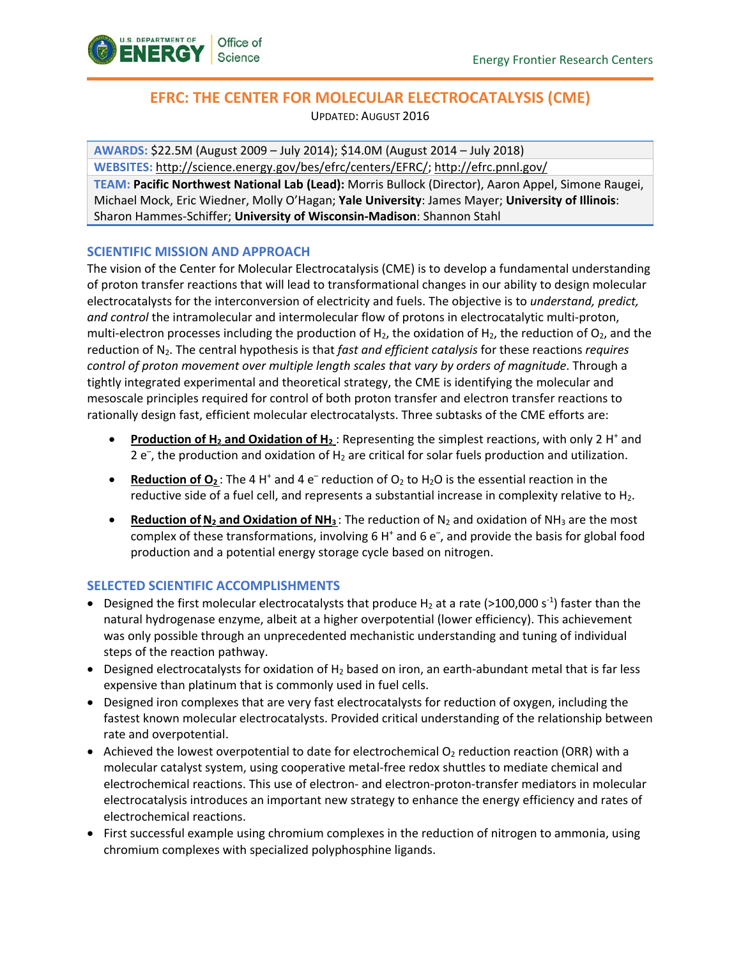

# **EFRC: THE CENTER FOR MOLECULAR ELECTROCATALYSIS (CME)**

UPDATED: AUGUST 2016

**AWARDS:** \$22.5M (August 2009 – July 2014); \$14.0M (August 2014 – July 2018) **WEBSITES:** [http://science.energy.gov/bes/efrc/centers/EFRC/;](http://science.energy.gov/bes/efrc/centers/EFRC/) <http://efrc.pnnl.gov/>

**TEAM: Pacific Northwest National Lab (Lead):** Morris Bullock (Director), Aaron Appel, Simone Raugei, Michael Mock, Eric Wiedner, Molly O'Hagan; **Yale University**: James Mayer; **University of Illinois**: Sharon Hammes-Schiffer; **University of Wisconsin-Madison**: Shannon Stahl

## **SCIENTIFIC MISSION AND APPROACH**

The vision of the Center for Molecular Electrocatalysis (CME) is to develop a fundamental understanding of proton transfer reactions that will lead to transformational changes in our ability to design molecular electrocatalysts for the interconversion of electricity and fuels. The objective is to *understand, predict, and control* the intramolecular and intermolecular flow of protons in electrocatalytic multi-proton, multi-electron processes including the production of H<sub>2</sub>, the oxidation of H<sub>2</sub>, the reduction of  $O_2$ , and the reduction of N2. The central hypothesis is that *fast and efficient catalysis* for these reactions *requires control of proton movement over multiple length scales that vary by orders of magnitude*. Through a tightly integrated experimental and theoretical strategy, the CME is identifying the molecular and mesoscale principles required for control of both proton transfer and electron transfer reactions to rationally design fast, efficient molecular electrocatalysts. Three subtasks of the CME efforts are:

- **Production of H<sub>2</sub> and Oxidation of H<sub>2</sub>:** Representing the simplest reactions, with only 2 H<sup>+</sup> and  $2 e^{-}$ , the production and oxidation of H<sub>2</sub> are critical for solar fuels production and utilization.
- **Reduction of O**<sub>2</sub>: The 4 H<sup>+</sup> and 4 e<sup>-</sup> reduction of O<sub>2</sub> to H<sub>2</sub>O is the essential reaction in the reductive side of a fuel cell, and represents a substantial increase in complexity relative to  $H_2$ .
- **Reduction of N<sub>2</sub> and Oxidation of NH<sub>3</sub>** : The reduction of N<sub>2</sub> and oxidation of NH<sub>3</sub> are the most complex of these transformations, involving 6 H<sup>+</sup> and 6 e<sup>-</sup>, and provide the basis for global food production and a potential energy storage cycle based on nitrogen.

## **SELECTED SCIENTIFIC ACCOMPLISHMENTS**

- Designed the first molecular electrocatalysts that produce  $H_2$  at a rate (>100,000 s<sup>-1</sup>) faster than the natural hydrogenase enzyme, albeit at a higher overpotential (lower efficiency). This achievement was only possible through an unprecedented mechanistic understanding and tuning of individual steps of the reaction pathway.
- Designed electrocatalysts for oxidation of  $H_2$  based on iron, an earth-abundant metal that is far less expensive than platinum that is commonly used in fuel cells.
- Designed iron complexes that are very fast electrocatalysts for reduction of oxygen, including the fastest known molecular electrocatalysts. Provided critical understanding of the relationship between rate and overpotential.
- Achieved the lowest overpotential to date for electrochemical  $O<sub>2</sub>$  reduction reaction (ORR) with a molecular catalyst system, using cooperative metal-free redox shuttles to mediate chemical and electrochemical reactions. This use of electron- and electron-proton-transfer mediators in molecular electrocatalysis introduces an important new strategy to enhance the energy efficiency and rates of electrochemical reactions.
- First successful example using chromium complexes in the reduction of nitrogen to ammonia, using chromium complexes with specialized polyphosphine ligands.